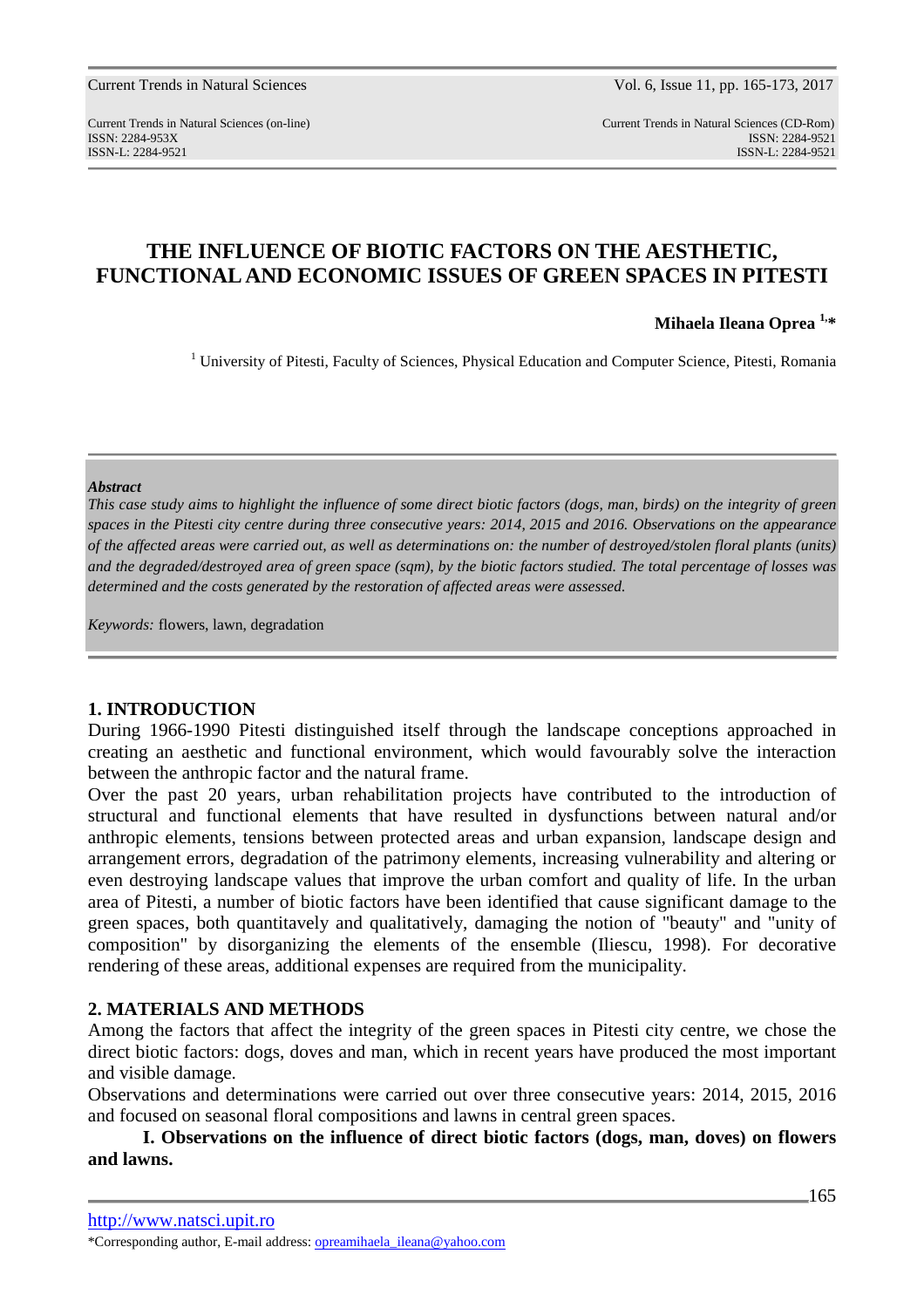Current Trends in Natural Sciences (on-line) Current Trends in Natural Sciences (CD-Rom) ISSN: 2284-953XISSN: 2284-9521 ISSN-L: 2284-9521 ISSN-L: 2284-9521

# **THE INFLUENCE OF BIOTIC FACTORS ON THE AESTHETIC, FUNCTIONAL AND ECONOMIC ISSUES OF GREEN SPACES IN PITESTI**

**Mihaela Ileana Oprea 1,\*** 

<sup>1</sup> University of Pitesti, Faculty of Sciences, Physical Education and Computer Science, Pitesti, Romania

### *Abstract*

*This case study aims to highlight the influence of some direct biotic factors (dogs, man, birds) on the integrity of green spaces in the Pitesti city centre during three consecutive years: 2014, 2015 and 2016. Observations on the appearance of the affected areas were carried out, as well as determinations on: the number of destroyed/stolen floral plants (units) and the degraded/destroyed area of green space (sqm), by the biotic factors studied. The total percentage of losses was determined and the costs generated by the restoration of affected areas were assessed.* 

*Keywords:* flowers, lawn, degradation

## **1. INTRODUCTION**

During 1966-1990 Pitesti distinguished itself through the landscape conceptions approached in creating an aesthetic and functional environment, which would favourably solve the interaction between the anthropic factor and the natural frame.

Over the past 20 years, urban rehabilitation projects have contributed to the introduction of structural and functional elements that have resulted in dysfunctions between natural and/or anthropic elements, tensions between protected areas and urban expansion, landscape design and arrangement errors, degradation of the patrimony elements, increasing vulnerability and altering or even destroying landscape values that improve the urban comfort and quality of life. In the urban area of Pitesti, a number of biotic factors have been identified that cause significant damage to the green spaces, both quantitavely and qualitatively, damaging the notion of "beauty" and "unity of composition" by disorganizing the elements of the ensemble (Iliescu, 1998). For decorative rendering of these areas, additional expenses are required from the municipality.

# **2. MATERIALS AND METHODS**

Among the factors that affect the integrity of the green spaces in Pitesti city centre, we chose the direct biotic factors: dogs, doves and man, which in recent years have produced the most important and visible damage.

Observations and determinations were carried out over three consecutive years: 2014, 2015, 2016 and focused on seasonal floral compositions and lawns in central green spaces.

**I. Observations on the influence of direct biotic factors (dogs, man, doves) on flowers and lawns.**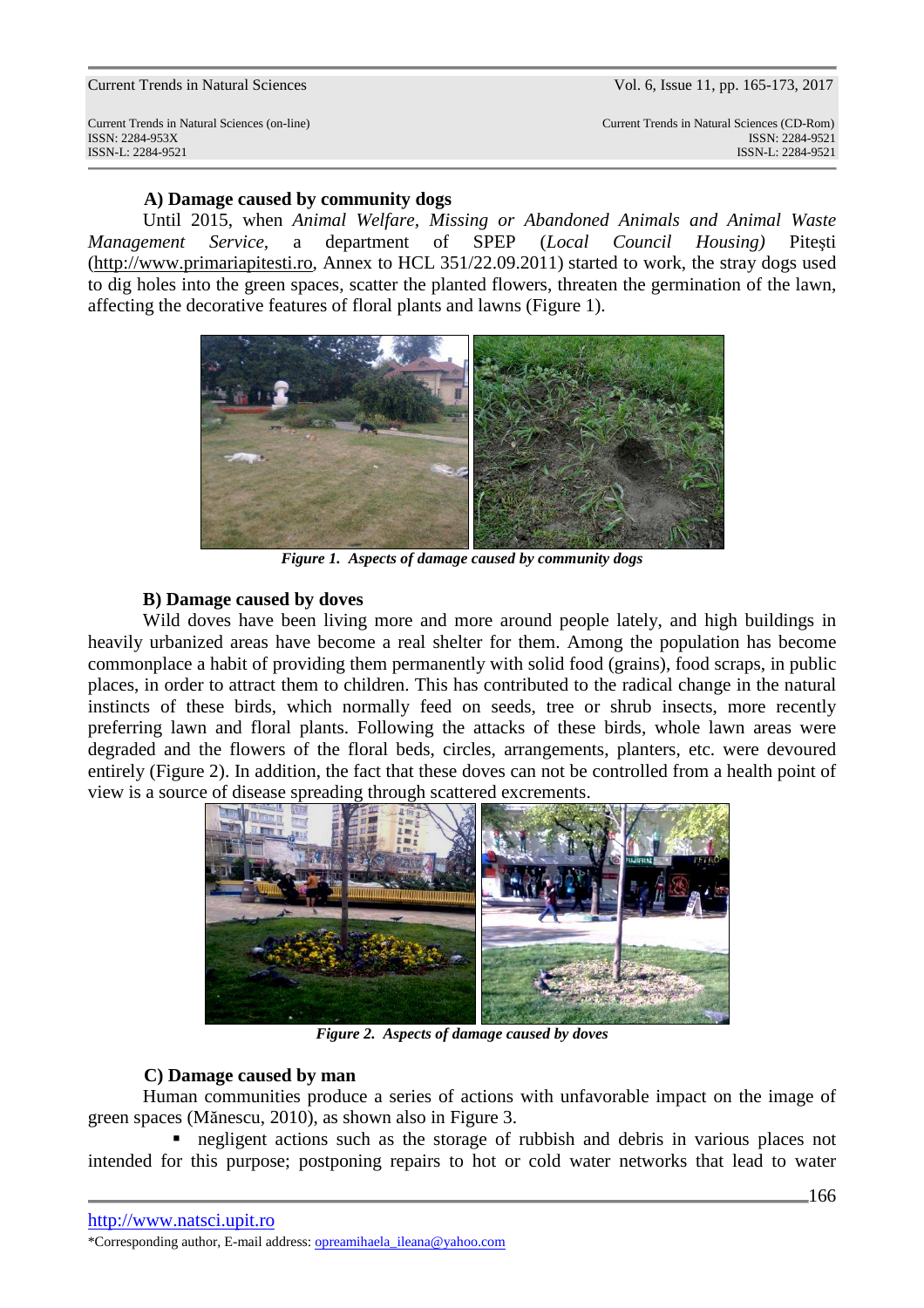Current Trends in Natural Sciences (on-line) Current Trends in Natural Sciences (CD-Rom) ISSN: 2284-953XISSN: 2284-9521 ISSN-L: 2284-9521 ISSN-L: 2284-9521

# **A) Damage caused by community dogs**

 Until 2015, when *Animal Welfare, Missing or Abandoned Animals and Animal Waste Management Service,* a department of SPEP (*Local Council Housing)* Piteşti (http://www.primariapitesti.ro, Annex to HCL 351/22.09.2011) started to work, the stray dogs used to dig holes into the green spaces, scatter the planted flowers, threaten the germination of the lawn, affecting the decorative features of floral plants and lawns (Figure 1).



*Figure 1. Aspects of damage caused by community dogs* 

## **B) Damage caused by doves**

Wild doves have been living more and more around people lately, and high buildings in heavily urbanized areas have become a real shelter for them. Among the population has become commonplace a habit of providing them permanently with solid food (grains), food scraps, in public places, in order to attract them to children. This has contributed to the radical change in the natural instincts of these birds, which normally feed on seeds, tree or shrub insects, more recently preferring lawn and floral plants. Following the attacks of these birds, whole lawn areas were degraded and the flowers of the floral beds, circles, arrangements, planters, etc. were devoured entirely (Figure 2). In addition, the fact that these doves can not be controlled from a health point of view is a source of disease spreading through scattered excrements.



*Figure 2. Aspects of damage caused by doves*

## **C) Damage caused by man**

 Human communities produce a series of actions with unfavorable impact on the image of green spaces (Mănescu, 2010), as shown also in Figure 3.

negligent actions such as the storage of rubbish and debris in various places not intended for this purpose; postponing repairs to hot or cold water networks that lead to water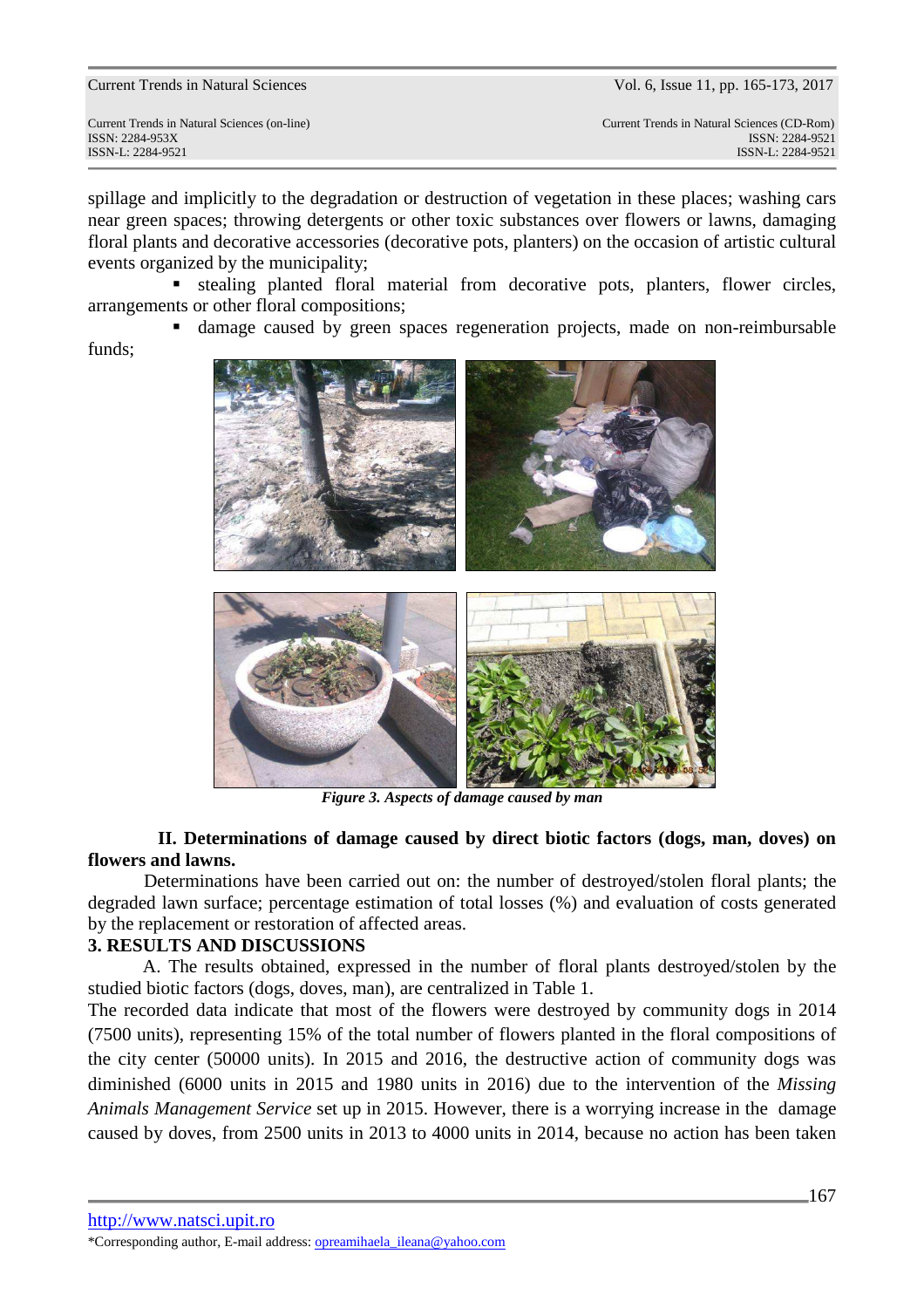Current Trends in Natural Sciences (on-line) Current Trends in Natural Sciences (CD-Rom) ISSN: 2284-953XISSN: 2284-9521 ISSN-L: 2284-9521 ISSN-L: 2284-9521

spillage and implicitly to the degradation or destruction of vegetation in these places; washing cars near green spaces; throwing detergents or other toxic substances over flowers or lawns, damaging floral plants and decorative accessories (decorative pots, planters) on the occasion of artistic cultural events organized by the municipality;

 stealing planted floral material from decorative pots, planters, flower circles, arrangements or other floral compositions;

damage caused by green spaces regeneration projects, made on non-reimbursable

funds;



*Figure 3. Aspects of damage caused by man* 

# **II. Determinations of damage caused by direct biotic factors (dogs, man, doves) on flowers and lawns.**

Determinations have been carried out on: the number of destroyed/stolen floral plants; the degraded lawn surface; percentage estimation of total losses (%) and evaluation of costs generated by the replacement or restoration of affected areas.

# **3. RESULTS AND DISCUSSIONS**

 A. The results obtained, expressed in the number of floral plants destroyed/stolen by the studied biotic factors (dogs, doves, man), are centralized in Table 1.

The recorded data indicate that most of the flowers were destroyed by community dogs in 2014 (7500 units), representing 15% of the total number of flowers planted in the floral compositions of the city center (50000 units). In 2015 and 2016, the destructive action of community dogs was diminished (6000 units in 2015 and 1980 units in 2016) due to the intervention of the *Missing Animals Management Service* set up in 2015. However, there is a worrying increase in the damage caused by doves, from 2500 units in 2013 to 4000 units in 2014, because no action has been taken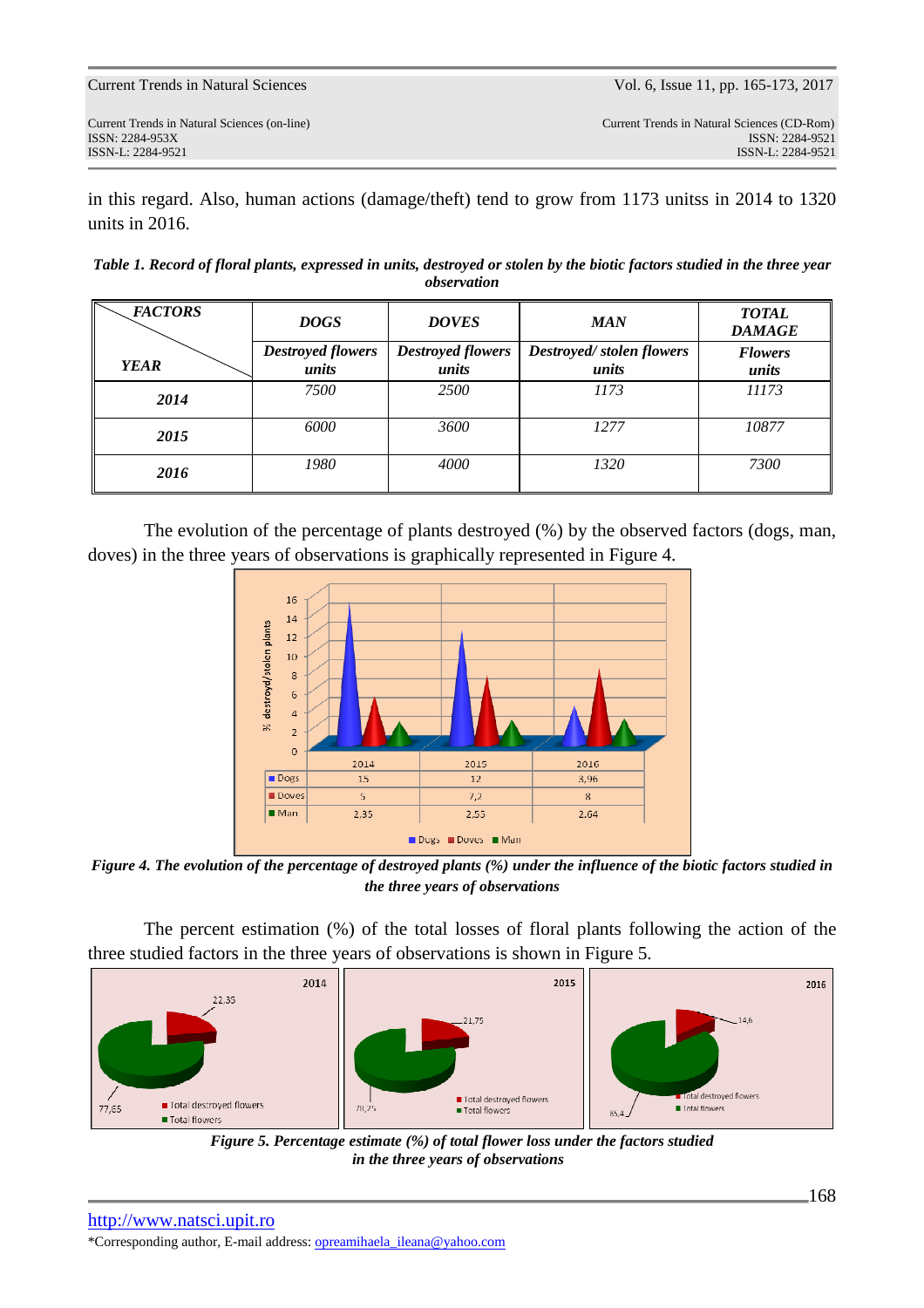in this regard. Also, human actions (damage/theft) tend to grow from 1173 unitss in 2014 to 1320 units in 2016.

*Table 1. Record of floral plants, expressed in units, destroyed or stolen by the biotic factors studied in the three year observation* 

| <b>FACTORS</b> | <b>DOGS</b>                       | <b>DOVES</b>                      | <b>MAN</b>                        | <b>TOTAL</b><br><b>DAMAGE</b> |
|----------------|-----------------------------------|-----------------------------------|-----------------------------------|-------------------------------|
| <b>YEAR</b>    | <b>Destroyed flowers</b><br>units | <b>Destroyed flowers</b><br>units | Destroyed/stolen flowers<br>units | <b>Flowers</b><br>units       |
| 2014           | 7500                              | 2500                              | 1173                              | 11173                         |
| 2015           | 6000                              | 3600                              | 1277                              | 10877                         |
| 2016           | 1980                              | 4000                              | 1320                              | 7300                          |

 The evolution of the percentage of plants destroyed (%) by the observed factors (dogs, man, doves) in the three years of observations is graphically represented in Figure 4.



*Figure 4. The evolution of the percentage of destroyed plants (%) under the influence of the biotic factors studied in the three years of observations* 

The percent estimation (%) of the total losses of floral plants following the action of the three studied factors in the three years of observations is shown in Figure 5.



*Figure 5. Percentage estimate (%) of total flower loss under the factors studied in the three years of observations*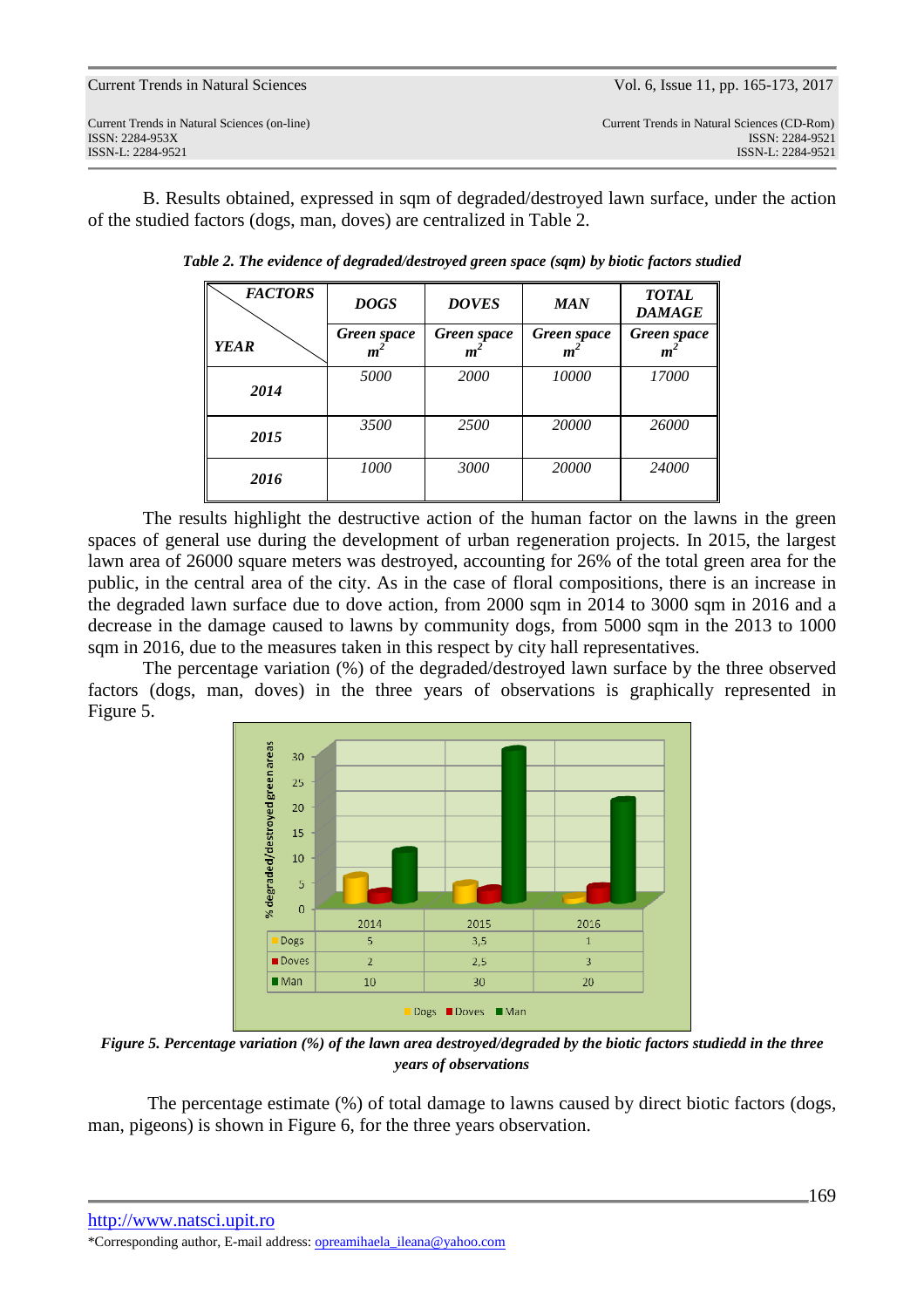| <b>Current Trends in Natural Sciences</b> |  |  |  |
|-------------------------------------------|--|--|--|
|-------------------------------------------|--|--|--|

B. Results obtained, expressed in sqm of degraded/destroyed lawn surface, under the action of the studied factors (dogs, man, doves) are centralized in Table 2.

| <b>FACTORS</b> | <b>DOGS</b>                   | <b>DOVES</b>     | <b>MAN</b>                      | <b>TOTAL</b><br><b>DAMAGE</b> |
|----------------|-------------------------------|------------------|---------------------------------|-------------------------------|
| <b>YEAR</b>    | Green space<br>m <sup>2</sup> | Green space<br>m | Green space<br>$\boldsymbol{m}$ | Green space<br>т              |
| 2014           | 5000                          | 2000             | 10000                           | 17000                         |
| 2015           | 3500                          | 2500             | 20000                           | 26000                         |
| 2016           | 1000                          | 3000             | 20000                           | 24000                         |

*Table 2. The evidence of degraded/destroyed green space (sqm) by biotic factors studied* 

The results highlight the destructive action of the human factor on the lawns in the green spaces of general use during the development of urban regeneration projects. In 2015, the largest lawn area of 26000 square meters was destroyed, accounting for 26% of the total green area for the public, in the central area of the city. As in the case of floral compositions, there is an increase in the degraded lawn surface due to dove action, from 2000 sqm in 2014 to 3000 sqm in 2016 and a decrease in the damage caused to lawns by community dogs, from 5000 sqm in the 2013 to 1000 sqm in 2016, due to the measures taken in this respect by city hall representatives.

 The percentage variation (%) of the degraded/destroyed lawn surface by the three observed factors (dogs, man, doves) in the three years of observations is graphically represented in Figure 5.



*Figure 5. Percentage variation (%) of the lawn area destroyed/degraded by the biotic factors studiedd in the three years of observations* 

 The percentage estimate (%) of total damage to lawns caused by direct biotic factors (dogs, man, pigeons) is shown in Figure 6, for the three years observation.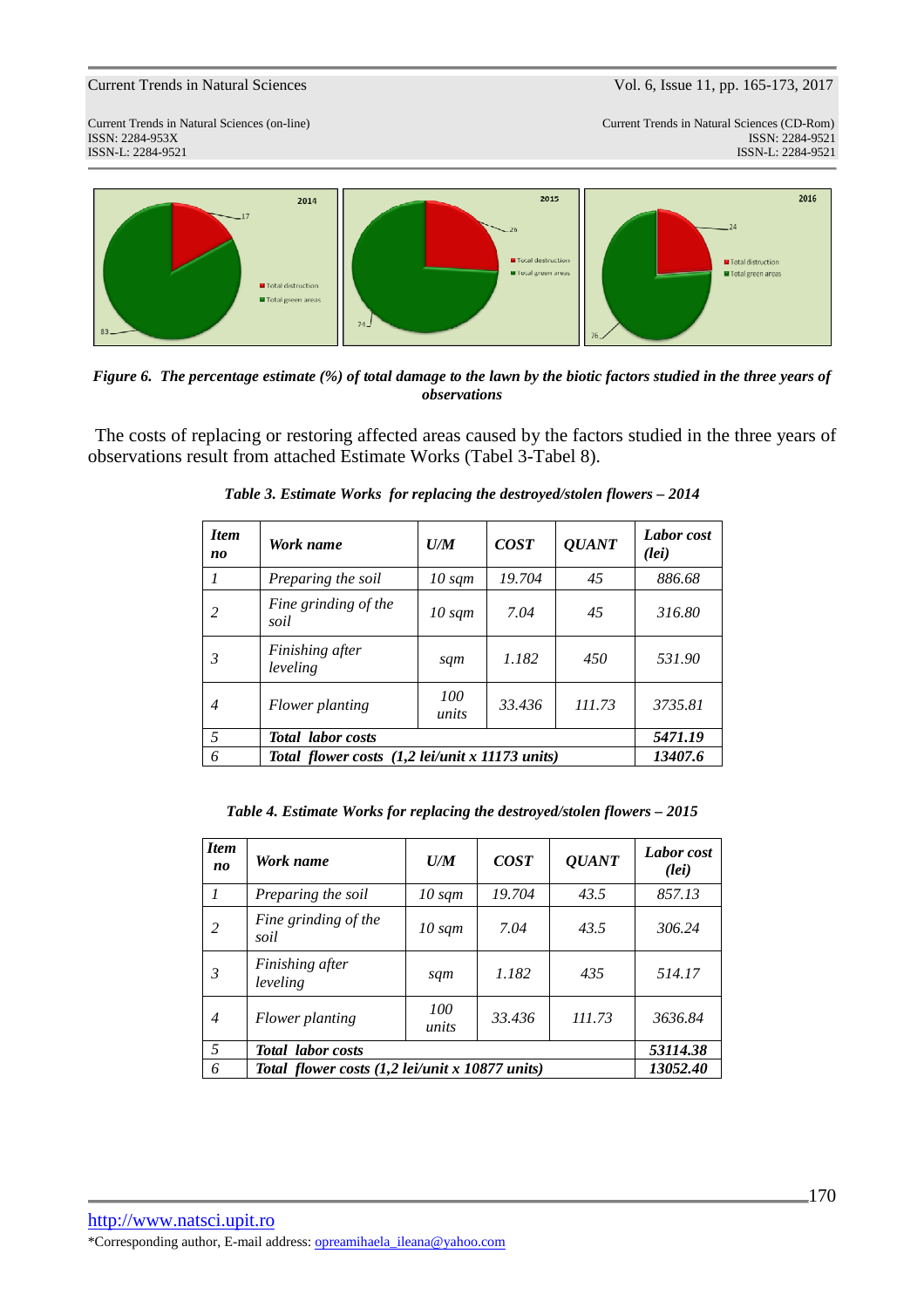ISSN: 2284-953XISSN: 2284-9521

Current Trends in Natural Sciences (CD-Rom)<br>ISSN: 2284-9521 ISSN-L: 2284-9521 ISSN-L: 2284-9521



*Figure 6. The percentage estimate (%) of total damage to the lawn by the biotic factors studied in the three years of observations*

The costs of replacing or restoring affected areas caused by the factors studied in the three years of observations result from attached Estimate Works (Tabel 3-Tabel 8).

| <b>Item</b><br>no | Work name                                                          | U/M              | <b>COST</b> | <b>QUANT</b> | Labor cost<br>(lei) |
|-------------------|--------------------------------------------------------------------|------------------|-------------|--------------|---------------------|
|                   | Preparing the soil                                                 | $10 \text{ sqm}$ | 19.704      | 45           | 886.68              |
| 2                 | Fine grinding of the<br>soil                                       | $10 \text{ sqm}$ | 7.04        | 45           | 316.80              |
| 3                 | Finishing after<br>leveling                                        | sqm              | 1.182       | 450          | 531.90              |
| $\overline{4}$    | Flower planting                                                    | 100<br>units     | 33.436      | 111.73       | 3735.81             |
| 5                 | <b>Total</b> labor costs                                           | 5471.19          |             |              |                     |
| 6                 | Total flower costs $(1,2 \text{ lei/unit } x \text{ 11173 units})$ |                  |             |              | 13407.6             |

*Table 3. Estimate Works for replacing the destroyed/stolen flowers – 2014* 

| Table 4. Estimate Works for replacing the destroyed/stolen flowers - 2015 |  |  |  |
|---------------------------------------------------------------------------|--|--|--|
|                                                                           |  |  |  |

| <b>Item</b><br>no | Work name                                       | U/M              | <b>COST</b> | <b>QUANT</b> | Labor cost<br>(Iei) |
|-------------------|-------------------------------------------------|------------------|-------------|--------------|---------------------|
|                   | Preparing the soil                              | $10 \text{ sqm}$ | 19.704      | 43.5         | 857.13              |
| 2                 | Fine grinding of the<br>soil                    | $10 \text{ sqm}$ | 7.04        | 43.5         | 306.24              |
| 3                 | Finishing after<br>leveling                     | sqm              | 1.182       | 435          | 514.17              |
| $\overline{4}$    | Flower planting                                 | 100<br>units     | 33.436      | 111.73       | 3636.84             |
| 5                 | <b>Total</b> labor costs                        | 53114.38         |             |              |                     |
| 6                 | Total flower costs (1,2 lei/unit x 10877 units) | 13052.40         |             |              |                     |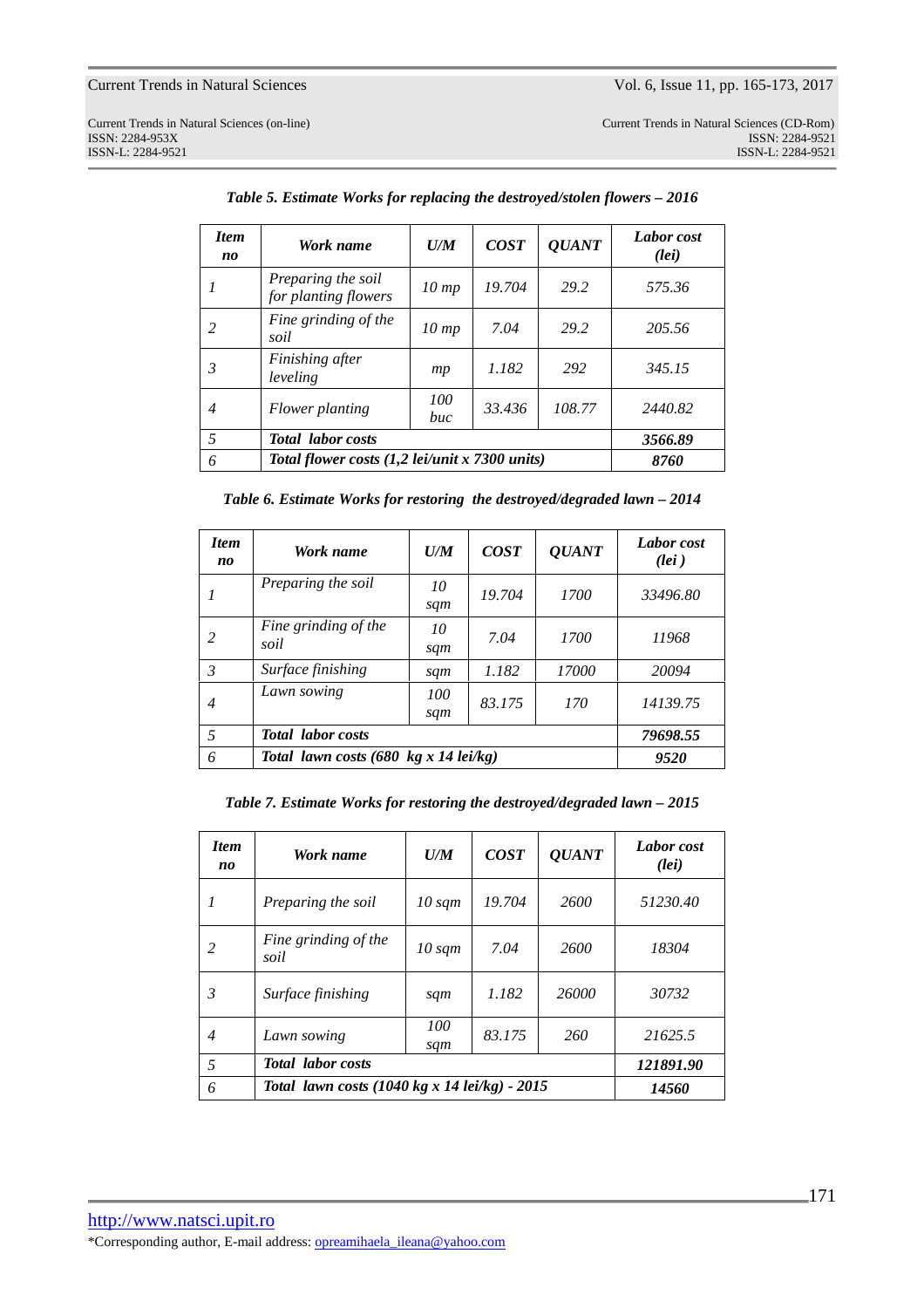Current Trends in Natural Sciences (on-line) Current Trends in Natural Sciences (CD-Rom) ISSN: 2284-953XISSN: 2284-9521 External Sciences (on-line)<br>
ISSN: 2284-953X<br>
ISSN-L: 2284-9521<br>
ISSN-L: 2284-9521<br>
ISSN-L: 2284-9521<br>
ISSN-L: 2284-9521

| <b>Item</b><br>no | Work name                                      | U/M               | <b>COST</b> | <b>QUANT</b> | Labor cost<br>(lei) |
|-------------------|------------------------------------------------|-------------------|-------------|--------------|---------------------|
|                   | Preparing the soil<br>for planting flowers     | $10 \, \text{mp}$ | 19.704      | 29.2         | 575.36              |
| 2                 | Fine grinding of the<br>soil                   | $10 \, \text{mp}$ | 7.04        | 29.2         | 205.56              |
| 3                 | Finishing after<br>leveling                    | mp                | 1.182       | 292          | 345.15              |
| 4                 | Flower planting                                | 100<br>buc        | 33.436      | 108.77       | 2440.82             |
| 5                 | <b>Total</b> labor costs                       | 3566.89           |             |              |                     |
| 6                 | Total flower costs (1,2 lei/unit x 7300 units) | 8760              |             |              |                     |

*Table 5. Estimate Works for replacing the destroyed/stolen flowers – 2016* 

*Table 6. Estimate Works for restoring the destroyed/degraded lawn – 2014* 

| <b>Item</b><br>no | Work name                                               | U/M        | <b>COST</b> | <b>QUANT</b> | Labor cost<br>$(\ell e \mathbf{i})$ |
|-------------------|---------------------------------------------------------|------------|-------------|--------------|-------------------------------------|
|                   | Preparing the soil                                      | 10<br>sqm  | 19.704      | 1700         | 33496.80                            |
| 2                 | Fine grinding of the<br>soil                            | 10<br>sqm  | 7.04        | 1700         | 11968                               |
| $\mathcal{E}$     | Surface finishing                                       | sqm        | 1.182       | 17000        | 20094                               |
| 4                 | Lawn sowing                                             | 100<br>sqm | 83.175      | 170          | 14139.75                            |
| 5                 | <b>Total</b> labor costs                                | 79698.55   |             |              |                                     |
| 6                 | Total lawn costs $(680 \text{ kg} x 14 \text{ lei/kg})$ | 9520       |             |              |                                     |

*Table 7. Estimate Works for restoring the destroyed/degraded lawn – 2015* 

| <b>Item</b><br>no | Work name                                                       | U/M              | <b>COST</b> | <i><b>OUANT</b></i> | Labor cost<br>(Iei) |
|-------------------|-----------------------------------------------------------------|------------------|-------------|---------------------|---------------------|
| 1                 | Preparing the soil                                              | $10 \text{ sqm}$ | 19.704      | 2600                | 51230.40            |
| 2                 | Fine grinding of the<br>soil                                    | $10 \text{ sqm}$ | 7.04        | 2600                | 18304               |
| 3                 | Surface finishing                                               | sqm              | 1.182       | 26000               | 30732               |
| 4                 | Lawn sowing                                                     | 100<br>sqm       | 83.175      | 260                 | 21625.5             |
| 5                 | <b>Total</b> labor costs                                        | 121891.90        |             |                     |                     |
| 6                 | Total lawn costs $(1040 \text{ kg} x 14 \text{ lei/kg}) - 2015$ |                  |             |                     | 14560               |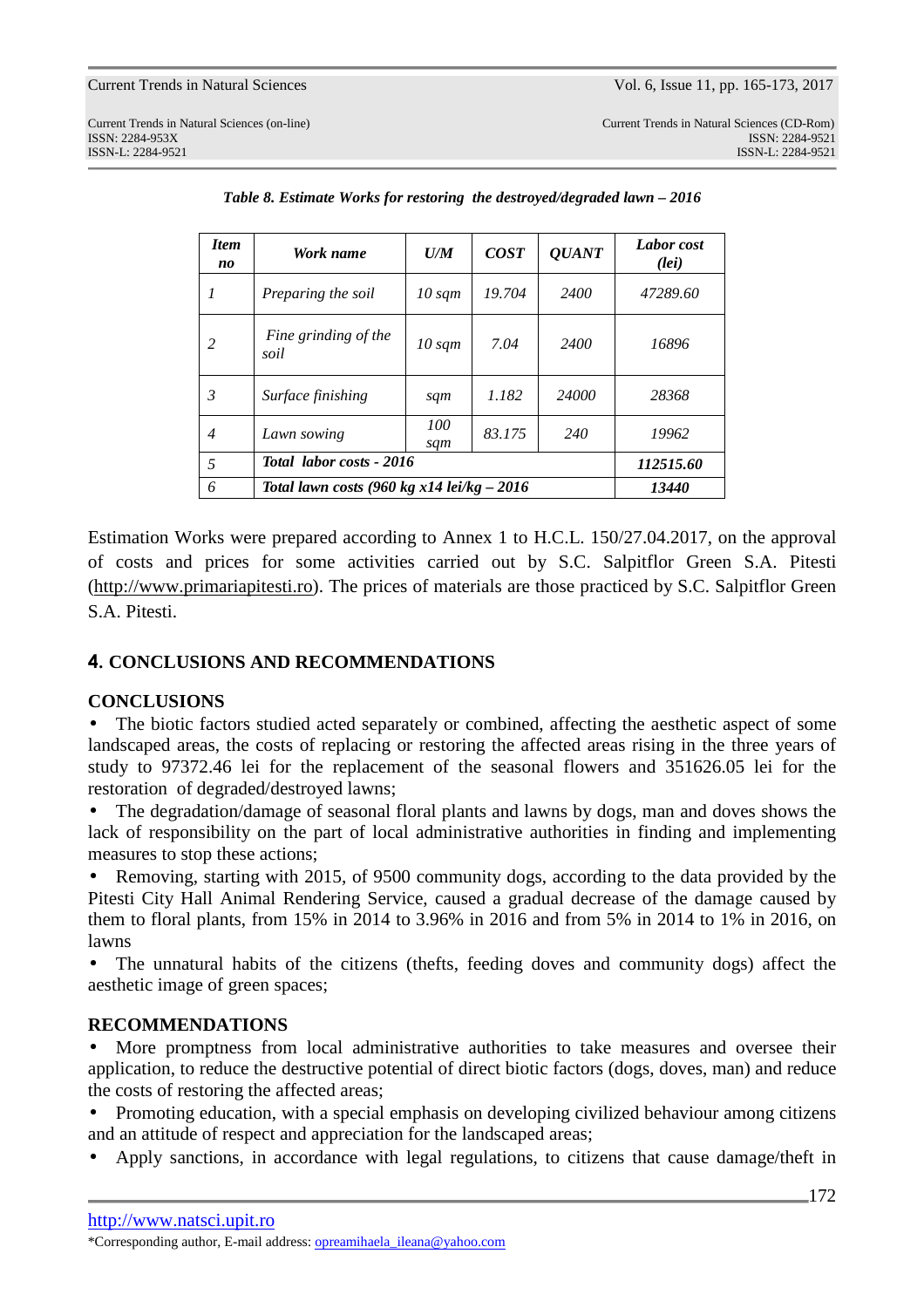| <b>Item</b><br>no | Work name                                    | U/M              | <b>COST</b> | <b>QUANT</b> | Labor cost<br>(Iei) |
|-------------------|----------------------------------------------|------------------|-------------|--------------|---------------------|
| 1                 | Preparing the soil                           | $10 \text{ sqm}$ | 19.704      | 2400         | 47289.60            |
| 2                 | Fine grinding of the<br>soil                 | $10 \text{ sqm}$ | 7.04        | 2400         | 16896               |
| 3                 | Surface finishing                            | sqm              | 1.182       | 24000        | 28368               |
| $\overline{4}$    | Lawn sowing                                  | 100<br>sqm       | 83.175      | 240          | 19962               |
| 5                 | Total labor costs - 2016                     | 112515.60        |             |              |                     |
| 6                 | Total lawn costs (960 kg x14 lei/kg $-$ 2016 | 13440            |             |              |                     |

*Table 8. Estimate Works for restoring the destroyed/degraded lawn – 2016* 

Estimation Works were prepared according to Annex 1 to H.C.L. 150/27.04.2017, on the approval of costs and prices for some activities carried out by S.C. Salpitflor Green S.A. Pitesti (http://www.primariapitesti.ro). The prices of materials are those practiced by S.C. Salpitflor Green S.A. Pitesti.

# **4. CONCLUSIONS AND RECOMMENDATIONS**

## **CONCLUSIONS**

The biotic factors studied acted separately or combined, affecting the aesthetic aspect of some landscaped areas, the costs of replacing or restoring the affected areas rising in the three years of study to 97372.46 lei for the replacement of the seasonal flowers and 351626.05 lei for the restoration of degraded/destroyed lawns;

• The degradation/damage of seasonal floral plants and lawns by dogs, man and doves shows the lack of responsibility on the part of local administrative authorities in finding and implementing measures to stop these actions;

• Removing, starting with 2015, of 9500 community dogs, according to the data provided by the Pitesti City Hall Animal Rendering Service, caused a gradual decrease of the damage caused by them to floral plants, from 15% in 2014 to 3.96% in 2016 and from 5% in 2014 to 1% in 2016, on lawns

• The unnatural habits of the citizens (thefts, feeding doves and community dogs) affect the aesthetic image of green spaces;

## **RECOMMENDATIONS**

• More promptness from local administrative authorities to take measures and oversee their application, to reduce the destructive potential of direct biotic factors (dogs, doves, man) and reduce the costs of restoring the affected areas;

• Promoting education, with a special emphasis on developing civilized behaviour among citizens and an attitude of respect and appreciation for the landscaped areas;

• Apply sanctions, in accordance with legal regulations, to citizens that cause damage/theft in